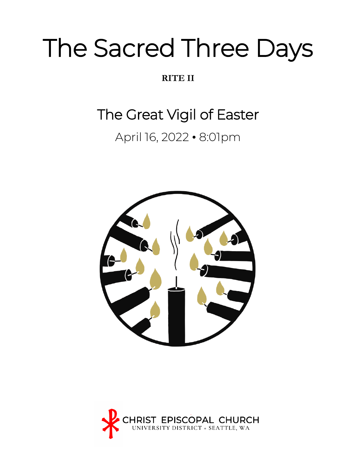# The Sacred Three Days

### **RITE II**

# The Great Vigil of Easter

## April 16, 2022 • 8:01pm



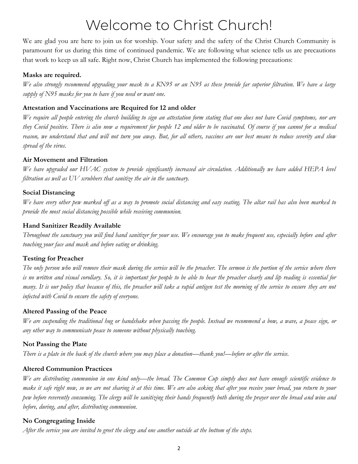# Welcome to Christ Church!

We are glad you are here to join us for worship. Your safety and the safety of the Christ Church Community is paramount for us during this time of continued pandemic. We are following what science tells us are precautions that work to keep us all safe. Right now, Christ Church has implemented the following precautions:

### **Masks are required.**

*We also strongly recommend upgrading your mask to a KN95 or an N95 as these provide far superior filtration. We have a large supply of N95 masks for you to have if you need or want one.*

### **Attestation and Vaccinations are Required for 12 and older**

*We require all people entering the church building to sign an attestation form stating that one does not have Covid symptoms, nor are they Covid positive. There is also now a requirement for people 12 and older to be vaccinated. Of course if you cannot for a medical reason, we understand that and will not turn you away. But, for all others, vaccines are our best means to reduce severity and slow spread of the virus.*

### **Air Movement and Filtration**

*We have upgraded our HVAC system to provide significantly increased air circulation. Additionally we have added HEPA level filtration as well as UV scrubbers that sanitize the air in the sanctuary.*

### **Social Distancing**

*We have every other pew marked off as a way to promote social distancing and easy seating. The altar rail has also been marked to provide the most social distancing possible while receiving communion.*

### **Hand Sanitizer Readily Available**

*Throughout the sanctuary you will find hand sanitizer for your use. We encourage you to make frequent use, especially before and after touching your face and mask and before eating or drinking.*

### **Testing for Preacher**

*The only person who will remove their mask during the service will be the preacher. The sermon is the portion of the service where there is no written and visual corollary. So, it is important for people to be able to hear the preacher clearly and lip reading is essential for many. It is our policy that because of this, the preacher will take a rapid antigen test the morning of the service to ensure they are not infected with Covid to ensure the safety of everyone.*

### **Altered Passing of the Peace**

*We are suspending the traditional hug or handshake when passing the people. Instead we recommend a bow, a wave, a peace sign, or any other way to communicate peace to someone without physically touching.* 

### **Not Passing the Plate**

*There is a plate in the back of the church where you may place a donation—thank you!—before or after the service.* 

### **Altered Communion Practices**

*We are distributing communion in one kind only—the bread. The Common Cup simply does not have enough scientific evidence to make it safe right now, so we are not sharing it at this time. We are also asking that after you receive your bread, you return to your pew before reverently consuming. The clergy will be sanitizing their hands frequently both during the prayer over the bread and wine and before, during, and after, distributing communion.*

### **No Congregating Inside**

*After the service you are invited to greet the clergy and one another outside at the bottom of the steps.*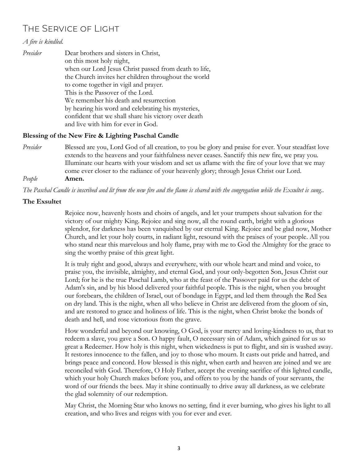### The Service of Light

### *A fire is kindled.*

*Presider* Dear brothers and sisters in Christ, on this most holy night, when our Lord Jesus Christ passed from death to life, the Church invites her children throughout the world to come together in vigil and prayer. This is the Passover of the Lord. We remember his death and resurrection by hearing his word and celebrating his mysteries, confident that we shall share his victory over death and live with him for ever in God.

### **Blessing of the New Fire & Lighting Paschal Candle**

*Presider* Blessed are you, Lord God of all creation, to you be glory and praise for ever. Your steadfast love extends to the heavens and your faithfulness never ceases. Sanctify this new fire, we pray you. Illuminate our hearts with your wisdom and set us aflame with the fire of your love that we may come ever closer to the radiance of your heavenly glory; through Jesus Christ our Lord.

*People* **Amen.** 

The Paschal Candle is inscribed and lit from the new fire and the flame is shared with the congregation while the Exsultet is sung..

### **The Exsultet**

Rejoice now, heavenly hosts and choirs of angels, and let your trumpets shout salvation for the victory of our mighty King. Rejoice and sing now, all the round earth, bright with a glorious splendor, for darkness has been vanquished by our eternal King. Rejoice and be glad now, Mother Church, and let your holy courts, in radiant light, resound with the praises of your people. All you who stand near this marvelous and holy flame, pray with me to God the Almighty for the grace to sing the worthy praise of this great light.

It is truly right and good, always and everywhere, with our whole heart and mind and voice, to praise you, the invisible, almighty, and eternal God, and your only-begotten Son, Jesus Christ our Lord; for he is the true Paschal Lamb, who at the feast of the Passover paid for us the debt of Adam's sin, and by his blood delivered your faithful people. This is the night, when you brought our forebears, the children of Israel, out of bondage in Egypt, and led them through the Red Sea on dry land. This is the night, when all who believe in Christ are delivered from the gloom of sin, and are restored to grace and holiness of life. This is the night, when Christ broke the bonds of death and hell, and rose victorious from the grave.

How wonderful and beyond our knowing, O God, is your mercy and loving-kindness to us, that to redeem a slave, you gave a Son. O happy fault, O necessary sin of Adam, which gained for us so great a Redeemer. How holy is this night, when wickedness is put to flight, and sin is washed away. It restores innocence to the fallen, and joy to those who mourn. It casts out pride and hatred, and brings peace and concord. How blessed is this night, when earth and heaven are joined and we are reconciled with God. Therefore, O Holy Father, accept the evening sacrifice of this lighted candle, which your holy Church makes before you, and offers to you by the hands of your servants, the word of our friends the bees. May it shine continually to drive away all darkness, as we celebrate the glad solemnity of our redemption.

May Christ, the Morning Star who knows no setting, find it ever burning, who gives his light to all creation, and who lives and reigns with you for ever and ever.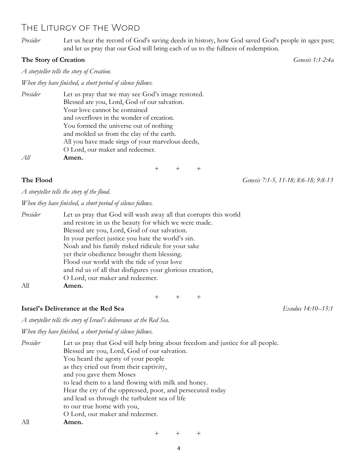### The Liturgy of the Word

*Presider* Let us hear the record of God's saving deeds in history, how God saved God's people in ages past; and let us pray that our God will bring each of us to the fullness of redemption.

### **The Story of Creation** *Genesis 1:1-2:4a*

*A storyteller tells the story of Creation.*

*When they have finished, a short period of silence follows.*

| Presider | Let us pray that we may see God's image restored. |  |  |  |  |
|----------|---------------------------------------------------|--|--|--|--|
|          | Blessed are you, Lord, God of our salvation.      |  |  |  |  |
|          | Your love cannot be contained                     |  |  |  |  |
|          | and overflows in the wonder of creation.          |  |  |  |  |
|          | You formed the universe out of nothing            |  |  |  |  |
|          | and molded us from the clay of the earth.         |  |  |  |  |
|          | All you have made sings of your marvelous deeds,  |  |  |  |  |
|          | O Lord, our maker and redeemer.                   |  |  |  |  |
| All      | Amen.                                             |  |  |  |  |
|          |                                                   |  |  |  |  |

+ + +

**The Flood** *Genesis 7:1-5, 11-18; 8:6-18; 9:8-13*

*A storyteller tells the story of the flood.*

*When they have finished, a short period of silence follows.*

| Presider | Let us pray that God will wash away all that corrupts this world |  |  |  |
|----------|------------------------------------------------------------------|--|--|--|
|          | and restore in us the beauty for which we were made.             |  |  |  |
|          | Blessed are you, Lord, God of our salvation.                     |  |  |  |
|          | In your perfect justice you hate the world's sin.                |  |  |  |
|          | Noah and his family risked ridicule for your sake                |  |  |  |
|          | yet their obedience brought them blessing.                       |  |  |  |
|          | Flood our world with the tide of your love                       |  |  |  |
|          | and rid us of all that disfigures your glorious creation,        |  |  |  |
|          | O Lord, our maker and redeemer.                                  |  |  |  |
| A11      | Amen.                                                            |  |  |  |

+ + +

### **Israel's Deliverance at the Red Sea** *Exodus 14:10--15:1*

*A storyteller tells the story of Israel's deliverance at the Red Sea.*

*When they have finished, a short period of silence follows.*

| Presider | Let us pray that God will help bring about freedom and justice for all people. |
|----------|--------------------------------------------------------------------------------|
|          | Blessed are you, Lord, God of our salvation.                                   |
|          | You heard the agony of your people                                             |
|          | as they cried out from their captivity,                                        |
|          | and you gave them Moses                                                        |
|          | to lead them to a land flowing with milk and honey.                            |
|          | Hear the cry of the oppressed, poor, and persecuted today                      |
|          | and lead us through the turbulent sea of life                                  |
|          | to our true home with you,                                                     |
|          | O Lord, our maker and redeemer.                                                |
| All      | Amen.                                                                          |
|          |                                                                                |

+ + +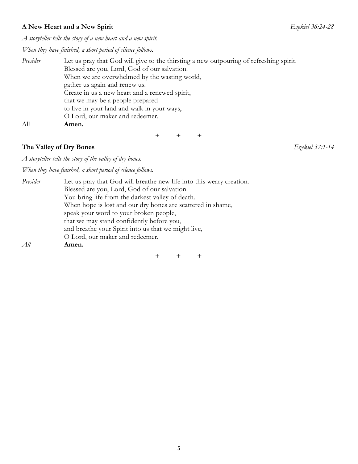### **A New Heart and a New Spirit** *Ezekiel 36:24-28*

*A storyteller tells the story of a new heart and a new spirit.*

*When they have finished, a short period of silence follows.*

| Presider | Let us pray that God will give to the thirsting a new outpouring of refreshing spirit. |  |  |  |  |
|----------|----------------------------------------------------------------------------------------|--|--|--|--|
|          | Blessed are you, Lord, God of our salvation.                                           |  |  |  |  |
|          | When we are overwhelmed by the wasting world,                                          |  |  |  |  |
|          | gather us again and renew us.                                                          |  |  |  |  |
|          | Create in us a new heart and a renewed spirit,                                         |  |  |  |  |
|          | that we may be a people prepared                                                       |  |  |  |  |
|          | to live in your land and walk in your ways,                                            |  |  |  |  |
|          | O Lord, our maker and redeemer.                                                        |  |  |  |  |
| All      | Amen.                                                                                  |  |  |  |  |

+ + +

### **The Valley of Dry Bones** *Ezekiel 37:1-14*

*A storyteller tells the story of the valley of dry bones.*

*When they have finished, a short period of silence follows.*

| Presider | Let us pray that God will breathe new life into this weary creation. |  |  |  |  |
|----------|----------------------------------------------------------------------|--|--|--|--|
|          | Blessed are you, Lord, God of our salvation.                         |  |  |  |  |
|          | You bring life from the darkest valley of death.                     |  |  |  |  |
|          | When hope is lost and our dry bones are scattered in shame,          |  |  |  |  |
|          | speak your word to your broken people,                               |  |  |  |  |
|          | that we may stand confidently before you,                            |  |  |  |  |
|          | and breathe your Spirit into us that we might live,                  |  |  |  |  |
|          | O Lord, our maker and redeemer.                                      |  |  |  |  |
| All      | Amen.                                                                |  |  |  |  |
|          |                                                                      |  |  |  |  |
|          |                                                                      |  |  |  |  |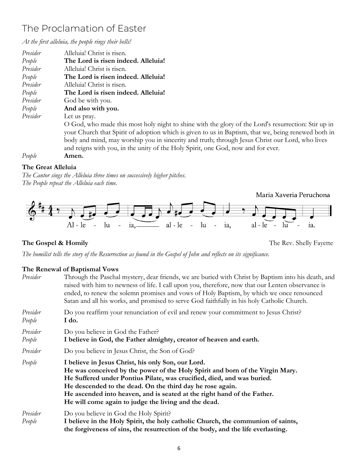### The Proclamation of Easter

*At the first alleluia, the people rings their bells!*

| Presider | Alleluia! Christ is risen.                                                                          |
|----------|-----------------------------------------------------------------------------------------------------|
| People   | The Lord is risen indeed. Alleluia!                                                                 |
| Presider | Alleluia! Christ is risen.                                                                          |
| People   | The Lord is risen indeed. Alleluia!                                                                 |
| Presider | Alleluia! Christ is risen.                                                                          |
| People   | The Lord is risen indeed. Alleluia!                                                                 |
| Presider | God be with you.                                                                                    |
| People   | And also with you.                                                                                  |
| Presider | Let us pray.                                                                                        |
|          | O God, who made this most holy night to shine with the glory of the Lord's resurrection: Stir up in |
|          | your Church that Spirit of adoption which is given to us in Baptism, that we, being renewed both in |
|          | body and mind, may worship you in sincerity and truth; through Jesus Christ our Lord, who lives     |
|          | and reigns with you, in the unity of the Holy Spirit, one God, now and for ever.                    |
| People   | Amen.                                                                                               |
|          |                                                                                                     |

### **The Great Alleluia**

*The Cantor sings the Alleluia three times on successively higher pitches. The People repeat the Alleluia each time.*

Maria Xaveria Peruchona



### **The Gospel & Homily** The Rev. Shelly Fayette

*The homilist tells the story of the Resurrection as found in the Gospel of John and reflects on its significance.*

### **The Renewal of Baptismal Vows**

| Presider           | Through the Paschal mystery, dear friends, we are buried with Christ by Baptism into his death, and<br>raised with him to newness of life. I call upon you, therefore, now that our Lenten observance is<br>ended, to renew the solemn promises and vows of Holy Baptism, by which we once renounced<br>Satan and all his works, and promised to serve God faithfully in his holy Catholic Church.            |  |  |  |
|--------------------|---------------------------------------------------------------------------------------------------------------------------------------------------------------------------------------------------------------------------------------------------------------------------------------------------------------------------------------------------------------------------------------------------------------|--|--|--|
| Presider<br>People | Do you reaffirm your renunciation of evil and renew your commitment to Jesus Christ?<br>I do.                                                                                                                                                                                                                                                                                                                 |  |  |  |
| Presider<br>People | Do you believe in God the Father?<br>I believe in God, the Father almighty, creator of heaven and earth.                                                                                                                                                                                                                                                                                                      |  |  |  |
| Presider           | Do you believe in Jesus Christ, the Son of God?                                                                                                                                                                                                                                                                                                                                                               |  |  |  |
| People             | I believe in Jesus Christ, his only Son, our Lord.<br>He was conceived by the power of the Holy Spirit and born of the Virgin Mary.<br>He Suffered under Pontius Pilate, was crucified, died, and was buried.<br>He descended to the dead. On the third day he rose again.<br>He ascended into heaven, and is seated at the right hand of the Father.<br>He will come again to judge the living and the dead. |  |  |  |
| Presider<br>People | Do you believe in God the Holy Spirit?<br>I believe in the Holy Spirit, the holy catholic Church, the communion of saints,<br>the forgiveness of sins, the resurrection of the body, and the life everlasting.                                                                                                                                                                                                |  |  |  |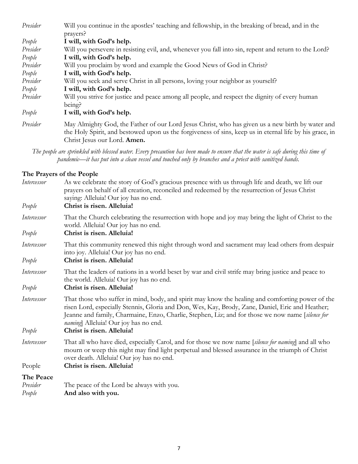| Presider | Will you continue in the apostles' teaching and fellowship, in the breaking of bread, and in the        |  |  |  |  |
|----------|---------------------------------------------------------------------------------------------------------|--|--|--|--|
| People   | prayers?<br>I will, with God's help.                                                                    |  |  |  |  |
| Presider | Will you persevere in resisting evil, and, whenever you fall into sin, repent and return to the Lord?   |  |  |  |  |
| People   | I will, with God's help.                                                                                |  |  |  |  |
| Presider | Will you proclaim by word and example the Good News of God in Christ?                                   |  |  |  |  |
| People   | I will, with God's help.                                                                                |  |  |  |  |
| Presider | Will you seek and serve Christ in all persons, loving your neighbor as yourself?                        |  |  |  |  |
| People   | I will, with God's help.                                                                                |  |  |  |  |
| Presider | Will you strive for justice and peace among all people, and respect the dignity of every human          |  |  |  |  |
|          | being?                                                                                                  |  |  |  |  |
| People   | I will, with God's help.                                                                                |  |  |  |  |
| Presider | May Almighty God, the Father of our Lord Jesus Christ, who has given us a new birth by water and        |  |  |  |  |
|          | the Holy Spirit, and bestowed upon us the forgiveness of sins, keep us in eternal life by his grace, in |  |  |  |  |
|          | Christ Jesus our Lord. Amen.                                                                            |  |  |  |  |

*The people are sprinkled with blessed water. Every precaution has been made to ensure that the water is safe during this time of pandemic—it has put into a clean vessel and touched only by branches and a priest with sanitized hands.*

### **The Prayers of the People**

| Intercessor<br>People | As we celebrate the story of God's gracious presence with us through life and death, we lift our<br>prayers on behalf of all creation, reconciled and redeemed by the resurrection of Jesus Christ<br>saying: Alleluia! Our joy has no end.<br>Christ is risen. Alleluia!                                                                          |
|-----------------------|----------------------------------------------------------------------------------------------------------------------------------------------------------------------------------------------------------------------------------------------------------------------------------------------------------------------------------------------------|
| Intercessor           | That the Church celebrating the resurrection with hope and joy may bring the light of Christ to the<br>world. Alleluia! Our joy has no end.                                                                                                                                                                                                        |
| People                | Christ is risen. Alleluia!                                                                                                                                                                                                                                                                                                                         |
| Intercessor           | That this community renewed this night through word and sacrament may lead others from despair<br>into joy. Alleluia! Our joy has no end.                                                                                                                                                                                                          |
| People                | Christ is risen. Alleluia!                                                                                                                                                                                                                                                                                                                         |
| Intercessor           | That the leaders of nations in a world beset by war and civil strife may bring justice and peace to<br>the world. Alleluia! Our joy has no end.                                                                                                                                                                                                    |
| People                | Christ is risen. Alleluia!                                                                                                                                                                                                                                                                                                                         |
| Intercessor           | That those who suffer in mind, body, and spirit may know the healing and comforting power of the<br>risen Lord, especially Stennis, Gloria and Don, Wes, Kay, Brody, Zane, Daniel, Eric and Heather;<br>Jeanne and family, Charmaine, Enzo, Charlie, Stephen, Liz; and for those we now name [silence for<br>naming] Alleluia! Our joy has no end. |
| People                | Christ is risen. Alleluia!                                                                                                                                                                                                                                                                                                                         |
| Intercessor           | That all who have died, especially Carol, and for those we now name [silence for naming] and all who<br>mourn or weep this night may find light perpetual and blessed assurance in the triumph of Christ<br>over death. Alleluia! Our joy has no end.                                                                                              |
| People                | Christ is risen. Alleluia!                                                                                                                                                                                                                                                                                                                         |
| The Peace             |                                                                                                                                                                                                                                                                                                                                                    |
| Presider              | The peace of the Lord be always with you.                                                                                                                                                                                                                                                                                                          |
| People                | And also with you.                                                                                                                                                                                                                                                                                                                                 |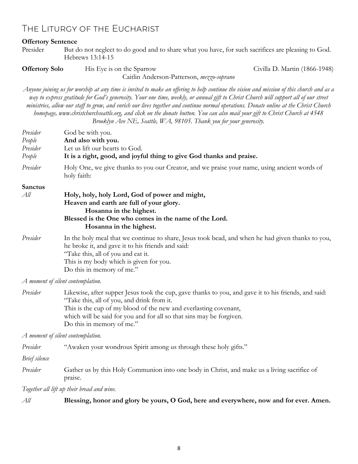### The Liturgy of the Eucharist

#### **Offertory Sentence**

Presider But do not neglect to do good and to share what you have, for such sacrifices are pleasing to God. Hebrews 13:14-15

**Offertory Solo** His Eye is on the Sparrow Civilla D. Martin (1866-1948)

Caitlin Anderson-Patterson, *mezzo-soprano*

*Anyone joining us for worship at any time is invited to make an offering to help continue the vision and mission of this church and as a way to express gratitude for God's generosity. Your one time, weekly, or annual gift to Christ Church will support all of our street ministries, allow our staff to grow, and enrich our lives together and continue normal operations. Donate online at the Christ Church homepage, www.christchurchseattle.org, and click on the donate button. You can also mail your gift to Christ Church at 4548 Brooklyn Ave NE, Seattle, WA, 98105. Thank you for your generosity.*

| Presider<br>People<br>Presider<br>People | God be with you.<br>And also with you.<br>Let us lift our hearts to God.<br>It is a right, good, and joyful thing to give God thanks and praise.                                                                                                                                                                                                                                                                                                                 |  |  |  |
|------------------------------------------|------------------------------------------------------------------------------------------------------------------------------------------------------------------------------------------------------------------------------------------------------------------------------------------------------------------------------------------------------------------------------------------------------------------------------------------------------------------|--|--|--|
| Presider                                 | Holy One, we give thanks to you our Creator, and we praise your name, using ancient words of<br>holy faith:                                                                                                                                                                                                                                                                                                                                                      |  |  |  |
| <b>Sanctus</b><br>All                    | Holy, holy, holy Lord, God of power and might,<br>Heaven and earth are full of your glory.<br>Hosanna in the highest.<br>Blessed is the One who comes in the name of the Lord.<br>Hosanna in the highest.                                                                                                                                                                                                                                                        |  |  |  |
| Presider                                 | In the holy meal that we continue to share, Jesus took bead, and when he had given thanks to you,<br>he broke it, and gave it to his friends and said:<br>"Take this, all of you and eat it.<br>This is my body which is given for you.<br>Do this in memory of me."                                                                                                                                                                                             |  |  |  |
|                                          | A moment of silent contemplation.                                                                                                                                                                                                                                                                                                                                                                                                                                |  |  |  |
| Presider                                 | Likewise, after supper Jesus took the cup, gave thanks to you, and gave it to his friends, and said:<br>$\omega$ $\Gamma$ 1 1 $\Gamma$ 1 1 1 $\Gamma$ 1 1 $\Gamma$ 1 $\Gamma$ 1 $\Gamma$ 1 $\Gamma$ 1 $\Gamma$ 1 $\Gamma$ 1 $\Gamma$ 1 $\Gamma$ 1 $\Gamma$ 1 $\Gamma$ 1 $\Gamma$ 1 $\Gamma$ 1 $\Gamma$ 1 $\Gamma$ 1 $\Gamma$ 1 $\Gamma$ 1 $\Gamma$ 1 $\Gamma$ 1 $\Gamma$ 1 $\Gamma$ 1 $\Gamma$ 1 $\Gamma$ 1 $\Gamma$ 1 $\Gamma$ 1 $\Gamma$ 1 $\Gamma$ 1 $\Gamma$ |  |  |  |

Take this, all of you, and drink from it. This is the cup of my blood of the new and everlasting covenant, which will be said for you and for all so that sins may be forgiven. Do this in memory of me."

*A moment of silent contemplation.*

| Presider |  |  | "Awaken your wondrous Spirit among us through these holy gifts." |
|----------|--|--|------------------------------------------------------------------|
|          |  |  |                                                                  |

*Brief silence*

*Presider* Gather us by this Holy Communion into one body in Christ, and make us a living sacrifice of praise.

*Together all lift up their bread and wine.*

| All | Blessing, honor and glory be yours, O God, here and everywhere, now and for ever. Amen. |
|-----|-----------------------------------------------------------------------------------------|
|-----|-----------------------------------------------------------------------------------------|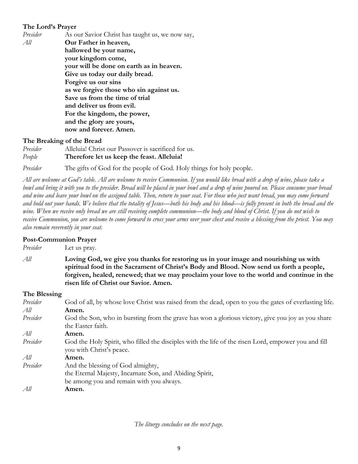### **The Lord's Prayer**

| Presider | As our Savior Christ has taught us, we now say, |
|----------|-------------------------------------------------|
| All      | Our Father in heaven,                           |
|          | hallowed be your name,                          |
|          | your kingdom come,                              |
|          | your will be done on earth as in heaven.        |
|          | Give us today our daily bread.                  |
|          | Forgive us our sins                             |
|          | as we forgive those who sin against us.         |
|          | Save us from the time of trial                  |
|          | and deliver us from evil.                       |
|          | For the kingdom, the power,                     |
|          | and the glory are yours,                        |
|          | now and forever. Amen.                          |

#### **The Breaking of the Bread**

| Presider | Alleluia! Christ our Passover is sacrificed for us. |
|----------|-----------------------------------------------------|
| People   | Therefore let us keep the feast. Alleluia!          |

*Presider* The gifts of God for the people of God. Holy things for holy people.

*All are welcome at God's table. All are welcome to receive Communion. If you would like bread with a drop of wine, please take a bowl and bring it with you to the presider. Bread will be placed in your bowl and a drop of wine poured on. Please consume your bread and wine and leave your bowl on the assigned table. Then, return to your seat. For those who just want bread, you may come forward and hold out your hands. We believe that the totality of Jesus—both his body and his blood—is fully present in both the bread and the wine. When we receive only bread we are still receiving complete communion—the body and blood of Christ. If you do not wish to receive Communion, you are welcome to come forward to cross your arms over your chest and receive a blessing from the priest. You may also remain reverently in your seat.* 

### **Post-Communion Prayer**

*Presider* Let us pray.

*All* **Loving God, we give you thanks for restoring us in your image and nourishing us with spiritual food in the Sacrament of Christ's Body and Blood. Now send us forth a people, forgiven, healed, renewed; that we may proclaim your love to the world and continue in the risen life of Christ our Savior. Amen.**

#### **The Blessing**

| Presider | God of all, by whose love Christ was raised from the dead, open to you the gates of everlasting life. |
|----------|-------------------------------------------------------------------------------------------------------|
| All      | Amen.                                                                                                 |
| Presider | God the Son, who in bursting from the grave has won a glorious victory, give you joy as you share     |
|          | the Easter faith.                                                                                     |
| All      | Amen.                                                                                                 |
| Presider | God the Holy Spirit, who filled the disciples with the life of the risen Lord, empower you and fill   |
|          | you with Christ's peace.                                                                              |
| All      | Amen.                                                                                                 |
| Presider | And the blessing of God almighty,                                                                     |
|          | the Eternal Majesty, Incarnate Son, and Abiding Spirit,                                               |
|          | be among you and remain with you always.                                                              |
| All      | Amen.                                                                                                 |
|          |                                                                                                       |

*The liturgy concludes on the next page.*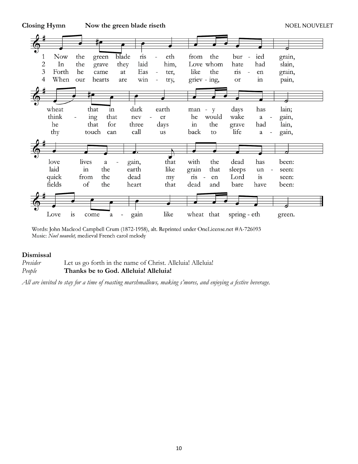**Closing Hymn Now the green blade riseth NOEL NOUVELET** 



Words: John Macleod Campbell Crum (1872-1958), alt. Reprinted under OneLicense.net #A-726093 Music: Noel nouvelet, medieval French carol melody

#### **Dismissal**

| Presider | Let us go forth in the name of Christ. Alleluial Alleluial |
|----------|------------------------------------------------------------|
| People   | Thanks be to God. Alleluia! Alleluia!                      |

*All are invited to stay for a time of roasting marshmallows, making s'mores, and enjoying a festive beverage.*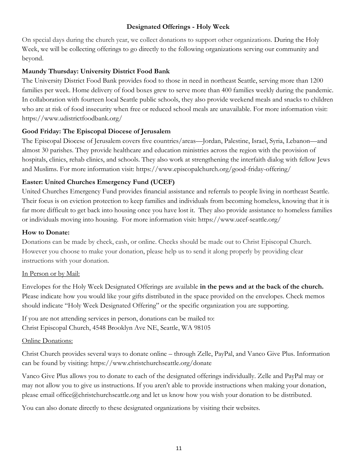### **Designated Offerings - Holy Week**

On special days during the church year, we collect donations to support other organizations. During the Holy Week, we will be collecting offerings to go directly to the following organizations serving our community and beyond.

### **Maundy Thursday: University District Food Bank**

The University District Food Bank provides food to those in need in northeast Seattle, serving more than 1200 families per week. Home delivery of food boxes grew to serve more than 400 families weekly during the pandemic. In collaboration with fourteen local Seattle public schools, they also provide weekend meals and snacks to children who are at risk of food insecurity when free or reduced school meals are unavailable. For more information visit: https://www.udistrictfoodbank.org/

### **Good Friday: The Episcopal Diocese of Jerusalem**

The Episcopal Diocese of Jerusalem covers five countries/areas—Jordan, Palestine, Israel, Syria, Lebanon—and almost 30 parishes. They provide healthcare and education ministries across the region with the provision of hospitals, clinics, rehab clinics, and schools. They also work at strengthening the interfaith dialog with fellow Jews and Muslims. For more information visit: https://www.episcopalchurch.org/good-friday-offering/

### **Easter: United Churches Emergency Fund (UCEF)**

United Churches Emergency Fund provides financial assistance and referrals to people living in northeast Seattle. Their focus is on eviction protection to keep families and individuals from becoming homeless, knowing that it is far more difficult to get back into housing once you have lost it. They also provide assistance to homeless families or individuals moving into housing. For more information visit: https://www.ucef-seattle.org/

### **How to Donate:**

Donations can be made by check, cash, or online. Checks should be made out to Christ Episcopal Church. However you choose to make your donation, please help us to send it along properly by providing clear instructions with your donation.

### In Person or by Mail:

Envelopes for the Holy Week Designated Offerings are available **in the pews and at the back of the church.**  Please indicate how you would like your gifts distributed in the space provided on the envelopes. Check memos should indicate "Holy Week Designated Offering" or the specific organization you are supporting.

If you are not attending services in person, donations can be mailed to: Christ Episcopal Church, 4548 Brooklyn Ave NE, Seattle, WA 98105

### Online Donations:

Christ Church provides several ways to donate online – through Zelle, PayPal, and Vanco Give Plus. Information can be found by visiting: https://www.christchurchseattle.org/donate

Vanco Give Plus allows you to donate to each of the designated offerings individually. Zelle and PayPal may or may not allow you to give us instructions. If you aren't able to provide instructions when making your donation, please email office@christchurchseattle.org and let us know how you wish your donation to be distributed.

You can also donate directly to these designated organizations by visiting their websites.